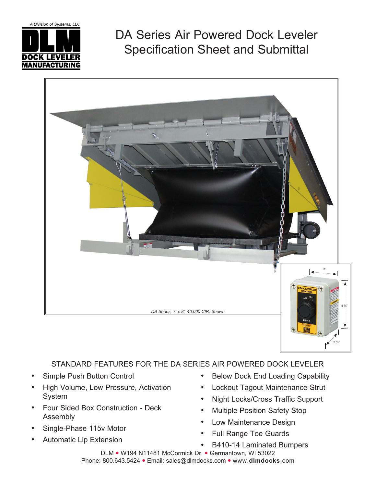

DA Series Air Powered Dock Leveler Specification Sheet and Submittal



## STANDARD FEATURES FOR THE DA SERIES AIR POWERED DOCK LEVELER

- Simple Push Button Control
- High Volume, Low Pressure, Activation System
- Four Sided Box Construction Deck Assembly
- Single-Phase 115v Motor
- **Automatic Lip Extension**
- **Below Dock End Loading Capability**
- Lockout Tagout Maintenance Strut
- Night Locks/Cross Traffic Support
- **Multiple Position Safety Stop**
- Low Maintenance Design
- **Full Range Toe Guards**
- B410-14 Laminated Bumpers

DLM • W194 N11481 McCormick Dr. • Germantown, WI 53022 Phone: 800.643.5424 · Email: sales@dlmdocks.com · www.dlmdocks.com